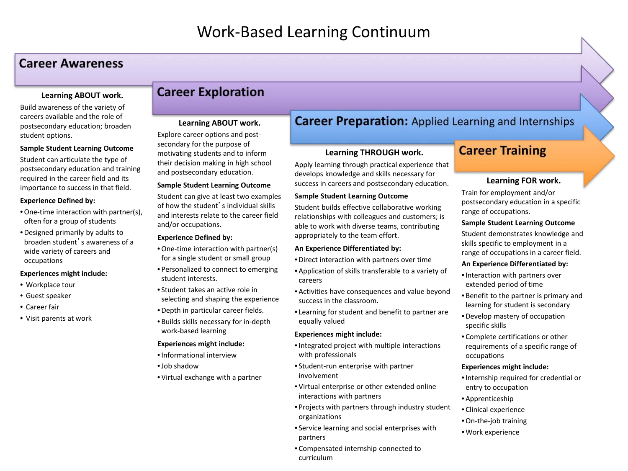## **Career Awareness**

### **Learning ABOUT work.**

Build awareness of the variety of careers available and the role of postsecondary education; broaden student options.

### **Sample Student Learning Outcome**

Student can articulate the type of postsecondary education and training required in the career field and its importance to success in that field.

### **Experience Defined by:**

- •One-time interaction with partner(s), often for a group of students
- Designed primarily by adults to broaden student's awareness of a wide variety of careers and occupations

#### **Experiences might include:**

- Workplace tour
- Guest speaker
- Career fair
- Visit parents at work

# **Career Exploration**

### **Learning ABOUT work.**

Explore career options and postsecondary for the purpose of motivating students and to inform their decision making in high school and postsecondary education.

### **Sample Student Learning Outcome**

Student can give at least two examples of how the student's individual skills and interests relate to the career field and/or occupations.

### **Experience Defined by:**

- •One-time interaction with partner(s) for a single student or small group
- Personalized to connect to emerging student interests.
- Student takes an active role in selecting and shaping the experience
- Depth in particular career fields.
- Builds skills necessary for in-depth work-based learning

### **Experiences might include:**

- •Informational interview
- •Job shadow
- Virtual exchange with a partner

# **Career Preparation:** Applied Learning and Internships

### **Learning THROUGH work.**

Apply learning through practical experience that develops knowledge and skills necessary for success in careers and postsecondary education.

### **Sample Student Learning Outcome**

Student builds effective collaborative working relationships with colleagues and customers; is able to work with diverse teams, contributing appropriately to the team effort.

### **An Experience Differentiated by:**

- Direct interaction with partners over time
- Application of skills transferable to a variety of careers
- Activities have consequences and value beyond success in the classroom.
- Learning for student and benefit to partner are equally valued

#### **Experiences might include:**

- •Integrated project with multiple interactions with professionals
- Student-run enterprise with partner involvement
- Virtual enterprise or other extended online interactions with partners
- Projects with partners through industry student organizations
- Service learning and social enterprises with partners
- Compensated internship connected to curriculum

# **Career Training**

### **Learning FOR work.**

Train for employment and/or postsecondary education in a specific range of occupations.

### **Sample Student Learning Outcome**

Student demonstrates knowledge and skills specific to employment in a range of occupations in a career field.

### **An Experience Differentiated by:**

- •Interaction with partners over extended period of time
- Benefit to the partner is primary and learning for student is secondary
- Develop mastery of occupation specific skills
- Complete certifications or other requirements of a specific range of occupations

### **Experiences might include:**

- •Internship required for credential or entry to occupation
- Apprenticeship
- Clinical experience
- •On-the-job training
- Work experience